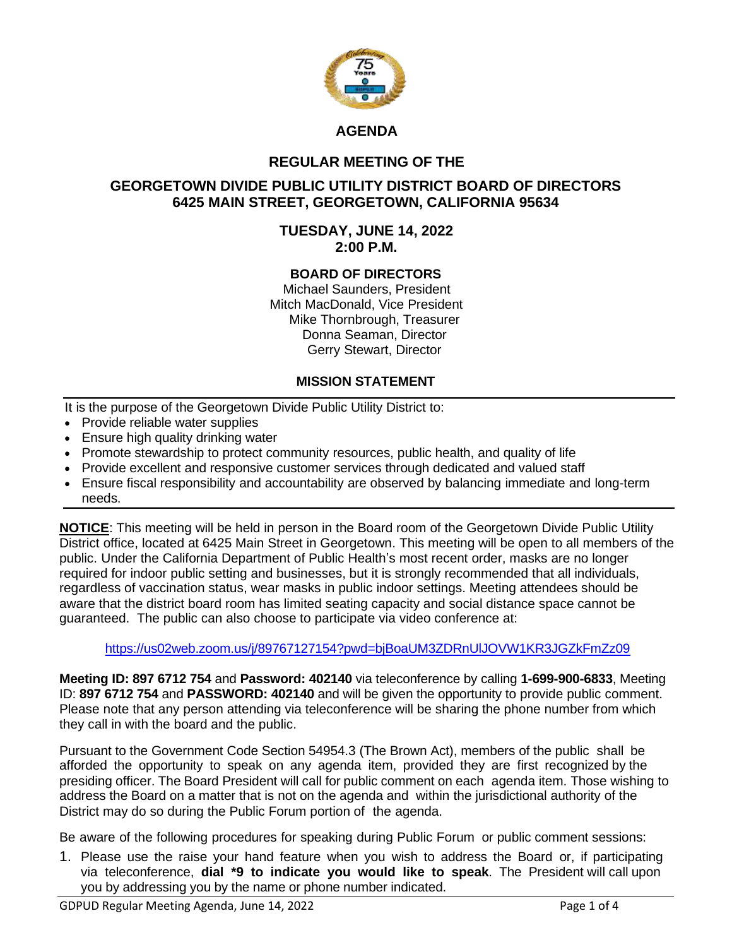

# **AGENDA**

## **REGULAR MEETING OF THE**

## **GEORGETOWN DIVIDE PUBLIC UTILITY DISTRICT BOARD OF DIRECTORS 6425 MAIN STREET, GEORGETOWN, CALIFORNIA 95634**

#### **TUESDAY, JUNE 14, 2022 2:00 P.M.**

#### **BOARD OF DIRECTORS**

Michael Saunders, President Mitch MacDonald, Vice President Mike Thornbrough, Treasurer Donna Seaman, Director Gerry Stewart, Director

#### **MISSION STATEMENT**

It is the purpose of the Georgetown Divide Public Utility District to:

- Provide reliable water supplies
- Ensure high quality drinking water
- Promote stewardship to protect community resources, public health, and quality of life
- Provide excellent and responsive customer services through dedicated and valued staff
- Ensure fiscal responsibility and accountability are observed by balancing immediate and long-term needs.

**NOTICE**: This meeting will be held in person in the Board room of the Georgetown Divide Public Utility District office, located at 6425 Main Street in Georgetown. This meeting will be open to all members of the public. Under the California Department of Public Health's most recent order, masks are no longer required for indoor public setting and businesses, but it is strongly recommended that all individuals, regardless of vaccination status, wear masks in public indoor settings. Meeting attendees should be aware that the district board room has limited seating capacity and social distance space cannot be guaranteed. The public can also choose to participate via video conference at:

#### <https://us02web.zoom.us/j/89767127154?pwd=bjBoaUM3ZDRnUlJOVW1KR3JGZkFmZz09>

**Meeting ID: 897 6712 754** and **Password: 402140** via teleconference by calling **1-699-900-6833**, Meeting ID: **897 6712 754** and **PASSWORD: 402140** and will be given the opportunity to provide public comment. Please note that any person attending via teleconference will be sharing the phone number from which they call in with the board and the public.

Pursuant to the Government Code Section 54954.3 (The Brown Act), members of the public shall be afforded the opportunity to speak on any agenda item, provided they are first recognized by the presiding officer. The Board President will call for public comment on each agenda item. Those wishing to address the Board on a matter that is not on the agenda and within the jurisdictional authority of the District may do so during the Public Forum portion of the agenda.

Be aware of the following procedures for speaking during Public Forum or public comment sessions:

1. Please use the raise your hand feature when you wish to address the Board or, if participating via teleconference, **dial \*9 to indicate you would like to speak**. The President will call upon you by addressing you by the name or phone number indicated.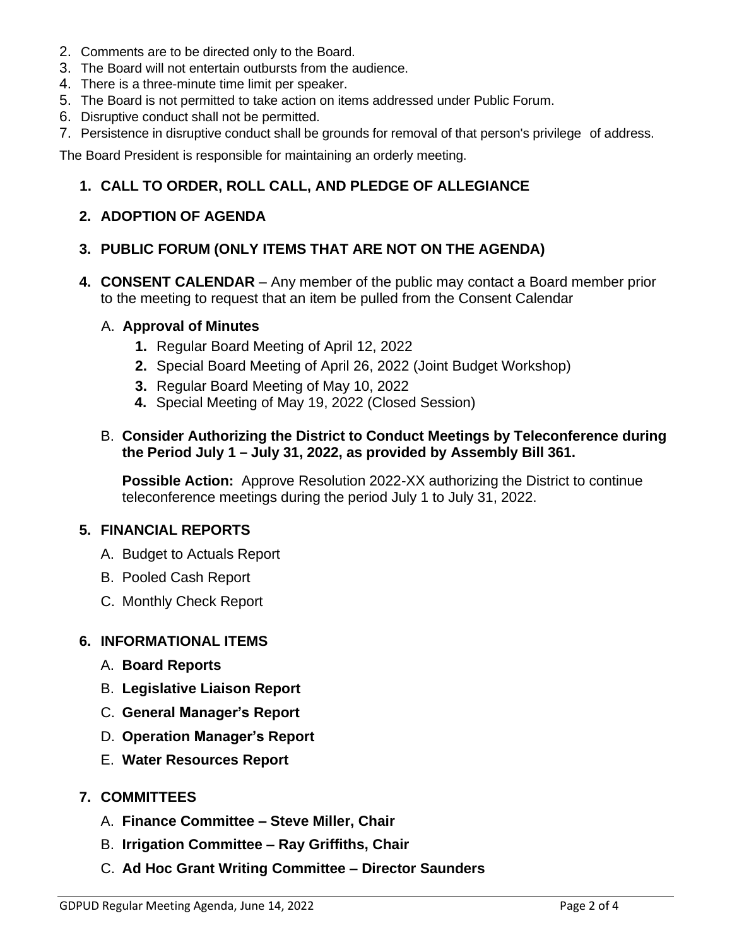- 2. Comments are to be directed only to the Board.
- 3. The Board will not entertain outbursts from the audience.
- 4. There is a three-minute time limit per speaker.
- 5. The Board is not permitted to take action on items addressed under Public Forum.
- 6. Disruptive conduct shall not be permitted.
- 7. Persistence in disruptive conduct shall be grounds for removal of that person's privilege of address.

The Board President is responsible for maintaining an orderly meeting.

# **1. CALL TO ORDER, ROLL CALL, AND PLEDGE OF ALLEGIANCE**

# **2. ADOPTION OF AGENDA**

# **3. PUBLIC FORUM (ONLY ITEMS THAT ARE NOT ON THE AGENDA)**

**4. CONSENT CALENDAR** – Any member of the public may contact a Board member prior to the meeting to request that an item be pulled from the Consent Calendar

#### A. **Approval of Minutes**

- **1.** Regular Board Meeting of April 12, 2022
- **2.** Special Board Meeting of April 26, 2022 (Joint Budget Workshop)
- **3.** Regular Board Meeting of May 10, 2022
- **4.** Special Meeting of May 19, 2022 (Closed Session)

## B. **Consider Authorizing the District to Conduct Meetings by Teleconference during the Period July 1 – July 31, 2022, as provided by Assembly Bill 361.**

**Possible Action:** Approve Resolution 2022-XX authorizing the District to continue teleconference meetings during the period July 1 to July 31, 2022.

## **5. FINANCIAL REPORTS**

- A. Budget to Actuals Report
- B. Pooled Cash Report
- C. Monthly Check Report

## **6. INFORMATIONAL ITEMS**

- A. **Board Reports**
- B. **Legislative Liaison Report**
- C. **General Manager's Report**
- D. **Operation Manager's Report**
- E. **Water Resources Report**

## **7. COMMITTEES**

- A. **Finance Committee – Steve Miller, Chair**
- B. **Irrigation Committee – Ray Griffiths, Chair**
- C. **Ad Hoc Grant Writing Committee – Director Saunders**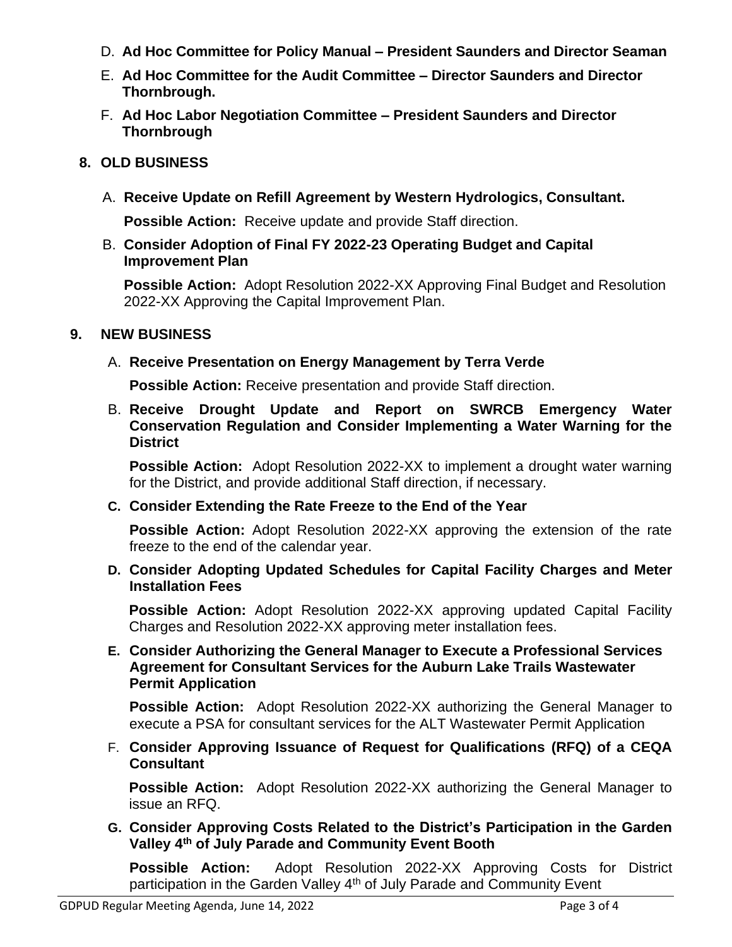- D. **Ad Hoc Committee for Policy Manual – President Saunders and Director Seaman**
- E. **Ad Hoc Committee for the Audit Committee – Director Saunders and Director Thornbrough.**
- F. **Ad Hoc Labor Negotiation Committee – President Saunders and Director Thornbrough**

# **8. OLD BUSINESS**

A. **Receive Update on Refill Agreement by Western Hydrologics, Consultant.**

**Possible Action:** Receive update and provide Staff direction.

B. **Consider Adoption of Final FY 2022-23 Operating Budget and Capital Improvement Plan**

**Possible Action:** Adopt Resolution 2022-XX Approving Final Budget and Resolution 2022-XX Approving the Capital Improvement Plan.

# **9. NEW BUSINESS**

# A. **Receive Presentation on Energy Management by Terra Verde**

**Possible Action:** Receive presentation and provide Staff direction.

B. **Receive Drought Update and Report on SWRCB Emergency Water Conservation Regulation and Consider Implementing a Water Warning for the District** 

**Possible Action:** Adopt Resolution 2022-XX to implement a drought water warning for the District, and provide additional Staff direction, if necessary.

**C. Consider Extending the Rate Freeze to the End of the Year**

**Possible Action:** Adopt Resolution 2022-XX approving the extension of the rate freeze to the end of the calendar year.

**D. Consider Adopting Updated Schedules for Capital Facility Charges and Meter Installation Fees**

**Possible Action:** Adopt Resolution 2022-XX approving updated Capital Facility Charges and Resolution 2022-XX approving meter installation fees.

## **E. Consider Authorizing the General Manager to Execute a Professional Services Agreement for Consultant Services for the Auburn Lake Trails Wastewater Permit Application**

**Possible Action:** Adopt Resolution 2022-XX authorizing the General Manager to execute a PSA for consultant services for the ALT Wastewater Permit Application

F. **Consider Approving Issuance of Request for Qualifications (RFQ) of a CEQA Consultant**

**Possible Action:** Adopt Resolution 2022-XX authorizing the General Manager to issue an RFQ.

**G. Consider Approving Costs Related to the District's Participation in the Garden Valley 4th of July Parade and Community Event Booth** 

**Possible Action:** Adopt Resolution 2022-XX Approving Costs for District participation in the Garden Valley 4<sup>th</sup> of July Parade and Community Event